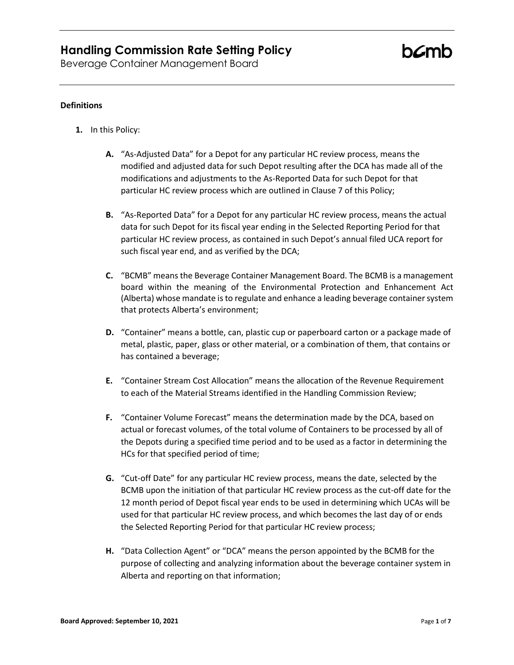Beverage Container Management Board

### **Definitions**

- **1.** In this Policy:
	- **A.** "As-Adjusted Data" for a Depot for any particular HC review process, means the modified and adjusted data for such Depot resulting after the DCA has made all of the modifications and adjustments to the As-Reported Data for such Depot for that particular HC review process which are outlined in Clause 7 of this Policy;
	- **B.** "As-Reported Data" for a Depot for any particular HC review process, means the actual data for such Depot for its fiscal year ending in the Selected Reporting Period for that particular HC review process, as contained in such Depot's annual filed UCA report for such fiscal year end, and as verified by the DCA;
	- **C.** "BCMB" means the Beverage Container Management Board. The BCMB is a management board within the meaning of the Environmental Protection and Enhancement Act (Alberta) whose mandate is to regulate and enhance a leading beverage container system that protects Alberta's environment;
	- **D.** "Container" means a bottle, can, plastic cup or paperboard carton or a package made of metal, plastic, paper, glass or other material, or a combination of them, that contains or has contained a beverage;
	- **E.** "Container Stream Cost Allocation" means the allocation of the Revenue Requirement to each of the Material Streams identified in the Handling Commission Review;
	- **F.** "Container Volume Forecast" means the determination made by the DCA, based on actual or forecast volumes, of the total volume of Containers to be processed by all of the Depots during a specified time period and to be used as a factor in determining the HCs for that specified period of time;
	- **G.** "Cut-off Date" for any particular HC review process, means the date, selected by the BCMB upon the initiation of that particular HC review process as the cut-off date for the 12 month period of Depot fiscal year ends to be used in determining which UCAs will be used for that particular HC review process, and which becomes the last day of or ends the Selected Reporting Period for that particular HC review process;
	- **H.** "Data Collection Agent" or "DCA" means the person appointed by the BCMB for the purpose of collecting and analyzing information about the beverage container system in Alberta and reporting on that information;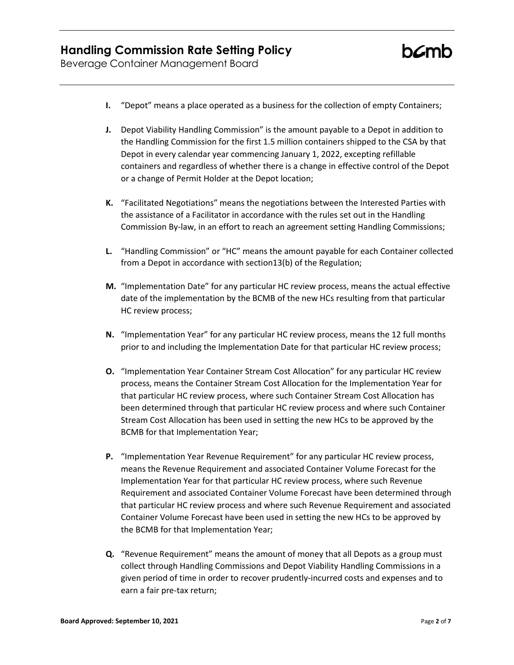Beverage Container Management Board

- **I.** "Depot" means a place operated as a business for the collection of empty Containers;
- **J.** Depot Viability Handling Commission" is the amount payable to a Depot in addition to the Handling Commission for the first 1.5 million containers shipped to the CSA by that Depot in every calendar year commencing January 1, 2022, excepting refillable containers and regardless of whether there is a change in effective control of the Depot or a change of Permit Holder at the Depot location;
- **K.** "Facilitated Negotiations" means the negotiations between the Interested Parties with the assistance of a Facilitator in accordance with the rules set out in the Handling Commission By-law, in an effort to reach an agreement setting Handling Commissions;
- **L.** "Handling Commission" or "HC" means the amount payable for each Container collected from a Depot in accordance with section13(b) of the Regulation;
- **M.** "Implementation Date" for any particular HC review process, means the actual effective date of the implementation by the BCMB of the new HCs resulting from that particular HC review process;
- **N.** "Implementation Year" for any particular HC review process, means the 12 full months prior to and including the Implementation Date for that particular HC review process;
- **O.** "Implementation Year Container Stream Cost Allocation" for any particular HC review process, means the Container Stream Cost Allocation for the Implementation Year for that particular HC review process, where such Container Stream Cost Allocation has been determined through that particular HC review process and where such Container Stream Cost Allocation has been used in setting the new HCs to be approved by the BCMB for that Implementation Year;
- **P.** "Implementation Year Revenue Requirement" for any particular HC review process, means the Revenue Requirement and associated Container Volume Forecast for the Implementation Year for that particular HC review process, where such Revenue Requirement and associated Container Volume Forecast have been determined through that particular HC review process and where such Revenue Requirement and associated Container Volume Forecast have been used in setting the new HCs to be approved by the BCMB for that Implementation Year;
- **Q.** "Revenue Requirement" means the amount of money that all Depots as a group must collect through Handling Commissions and Depot Viability Handling Commissions in a given period of time in order to recover prudently-incurred costs and expenses and to earn a fair pre-tax return;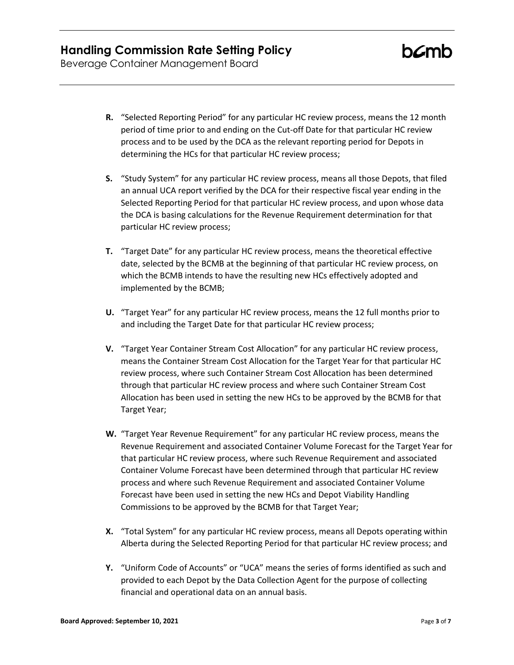Beverage Container Management Board

- **R.** "Selected Reporting Period" for any particular HC review process, means the 12 month period of time prior to and ending on the Cut-off Date for that particular HC review process and to be used by the DCA as the relevant reporting period for Depots in determining the HCs for that particular HC review process;
- **S.** "Study System" for any particular HC review process, means all those Depots, that filed an annual UCA report verified by the DCA for their respective fiscal year ending in the Selected Reporting Period for that particular HC review process, and upon whose data the DCA is basing calculations for the Revenue Requirement determination for that particular HC review process;
- **T.** "Target Date" for any particular HC review process, means the theoretical effective date, selected by the BCMB at the beginning of that particular HC review process, on which the BCMB intends to have the resulting new HCs effectively adopted and implemented by the BCMB;
- **U.** "Target Year" for any particular HC review process, means the 12 full months prior to and including the Target Date for that particular HC review process;
- **V.** "Target Year Container Stream Cost Allocation" for any particular HC review process, means the Container Stream Cost Allocation for the Target Year for that particular HC review process, where such Container Stream Cost Allocation has been determined through that particular HC review process and where such Container Stream Cost Allocation has been used in setting the new HCs to be approved by the BCMB for that Target Year;
- **W.** "Target Year Revenue Requirement" for any particular HC review process, means the Revenue Requirement and associated Container Volume Forecast for the Target Year for that particular HC review process, where such Revenue Requirement and associated Container Volume Forecast have been determined through that particular HC review process and where such Revenue Requirement and associated Container Volume Forecast have been used in setting the new HCs and Depot Viability Handling Commissions to be approved by the BCMB for that Target Year;
- **X.** "Total System" for any particular HC review process, means all Depots operating within Alberta during the Selected Reporting Period for that particular HC review process; and
- **Y.** "Uniform Code of Accounts" or "UCA" means the series of forms identified as such and provided to each Depot by the Data Collection Agent for the purpose of collecting financial and operational data on an annual basis.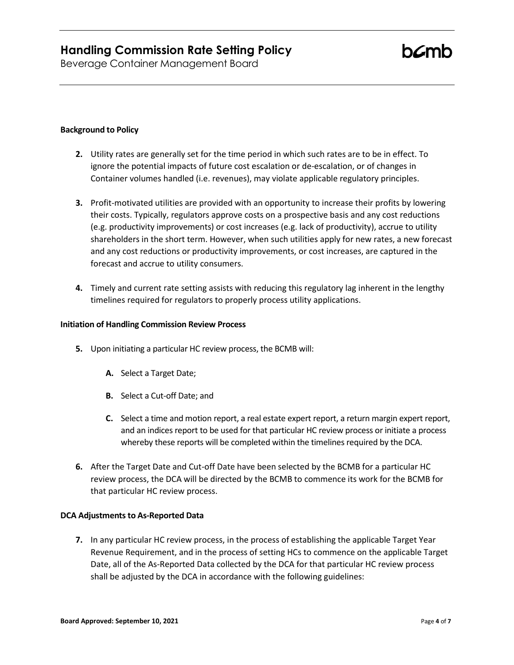Beverage Container Management Board

### **Background to Policy**

- **2.** Utility rates are generally set for the time period in which such rates are to be in effect. To ignore the potential impacts of future cost escalation or de-escalation, or of changes in Container volumes handled (i.e. revenues), may violate applicable regulatory principles.
- **3.** Profit-motivated utilities are provided with an opportunity to increase their profits by lowering their costs. Typically, regulators approve costs on a prospective basis and any cost reductions (e.g. productivity improvements) or cost increases (e.g. lack of productivity), accrue to utility shareholders in the short term. However, when such utilities apply for new rates, a new forecast and any cost reductions or productivity improvements, or cost increases, are captured in the forecast and accrue to utility consumers.
- **4.** Timely and current rate setting assists with reducing this regulatory lag inherent in the lengthy timelines required for regulators to properly process utility applications.

#### **Initiation of Handling Commission Review Process**

- **5.** Upon initiating a particular HC review process, the BCMB will:
	- **A.** Select a Target Date;
	- **B.** Select a Cut-off Date; and
	- **C.** Select a time and motion report, a real estate expert report, a return margin expert report, and an indices report to be used for that particular HC review process or initiate a process whereby these reports will be completed within the timelines required by the DCA.
- **6.** After the Target Date and Cut-off Date have been selected by the BCMB for a particular HC review process, the DCA will be directed by the BCMB to commence its work for the BCMB for that particular HC review process.

#### **DCA Adjustments to As-Reported Data**

**7.** In any particular HC review process, in the process of establishing the applicable Target Year Revenue Requirement, and in the process of setting HCs to commence on the applicable Target Date, all of the As-Reported Data collected by the DCA for that particular HC review process shall be adjusted by the DCA in accordance with the following guidelines: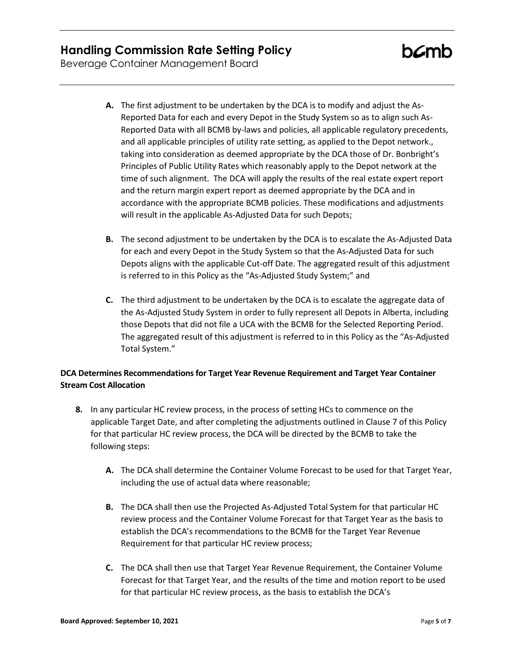Beverage Container Management Board

- **A.** The first adjustment to be undertaken by the DCA is to modify and adjust the As-Reported Data for each and every Depot in the Study System so as to align such As-Reported Data with all BCMB by-laws and policies, all applicable regulatory precedents, and all applicable principles of utility rate setting, as applied to the Depot network., taking into consideration as deemed appropriate by the DCA those of Dr. Bonbright's Principles of Public Utility Rates which reasonably apply to the Depot network at the time of such alignment. The DCA will apply the results of the real estate expert report and the return margin expert report as deemed appropriate by the DCA and in accordance with the appropriate BCMB policies. These modifications and adjustments will result in the applicable As-Adjusted Data for such Depots;
- **B.** The second adjustment to be undertaken by the DCA is to escalate the As-Adjusted Data for each and every Depot in the Study System so that the As-Adjusted Data for such Depots aligns with the applicable Cut-off Date. The aggregated result of this adjustment is referred to in this Policy as the "As-Adjusted Study System;" and
- **C.** The third adjustment to be undertaken by the DCA is to escalate the aggregate data of the As-Adjusted Study System in order to fully represent all Depots in Alberta, including those Depots that did not file a UCA with the BCMB for the Selected Reporting Period. The aggregated result of this adjustment is referred to in this Policy as the "As-Adjusted Total System."

### **DCA Determines Recommendations for Target Year Revenue Requirement and Target Year Container Stream Cost Allocation**

- **8.** In any particular HC review process, in the process of setting HCs to commence on the applicable Target Date, and after completing the adjustments outlined in Clause 7 of this Policy for that particular HC review process, the DCA will be directed by the BCMB to take the following steps:
	- **A.** The DCA shall determine the Container Volume Forecast to be used for that Target Year, including the use of actual data where reasonable;
	- **B.** The DCA shall then use the Projected As-Adjusted Total System for that particular HC review process and the Container Volume Forecast for that Target Year as the basis to establish the DCA's recommendations to the BCMB for the Target Year Revenue Requirement for that particular HC review process;
	- **C.** The DCA shall then use that Target Year Revenue Requirement, the Container Volume Forecast for that Target Year, and the results of the time and motion report to be used for that particular HC review process, as the basis to establish the DCA's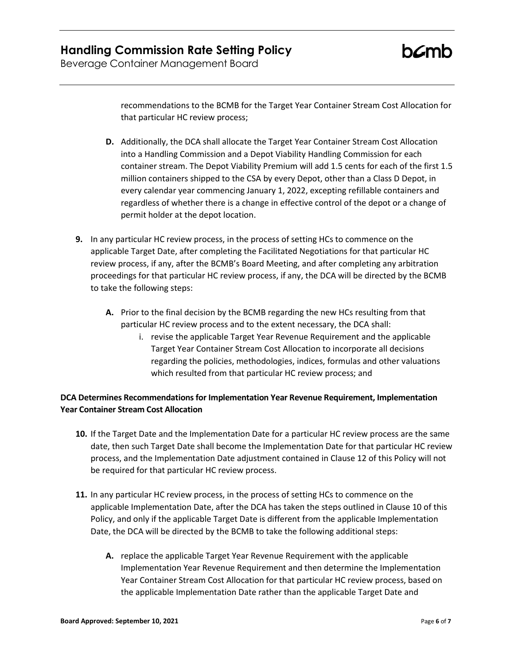Beverage Container Management Board

recommendations to the BCMB for the Target Year Container Stream Cost Allocation for that particular HC review process;

- **D.** Additionally, the DCA shall allocate the Target Year Container Stream Cost Allocation into a Handling Commission and a Depot Viability Handling Commission for each container stream. The Depot Viability Premium will add 1.5 cents for each of the first 1.5 million containers shipped to the CSA by every Depot, other than a Class D Depot, in every calendar year commencing January 1, 2022, excepting refillable containers and regardless of whether there is a change in effective control of the depot or a change of permit holder at the depot location.
- **9.** In any particular HC review process, in the process of setting HCs to commence on the applicable Target Date, after completing the Facilitated Negotiations for that particular HC review process, if any, after the BCMB's Board Meeting, and after completing any arbitration proceedings for that particular HC review process, if any, the DCA will be directed by the BCMB to take the following steps:
	- **A.** Prior to the final decision by the BCMB regarding the new HCs resulting from that particular HC review process and to the extent necessary, the DCA shall:
		- i. revise the applicable Target Year Revenue Requirement and the applicable Target Year Container Stream Cost Allocation to incorporate all decisions regarding the policies, methodologies, indices, formulas and other valuations which resulted from that particular HC review process; and

### **DCA Determines Recommendations for Implementation Year Revenue Requirement, Implementation Year Container Stream Cost Allocation**

- **10.** If the Target Date and the Implementation Date for a particular HC review process are the same date, then such Target Date shall become the Implementation Date for that particular HC review process, and the Implementation Date adjustment contained in Clause 12 of this Policy will not be required for that particular HC review process.
- **11.** In any particular HC review process, in the process of setting HCs to commence on the applicable Implementation Date, after the DCA has taken the steps outlined in Clause 10 of this Policy, and only if the applicable Target Date is different from the applicable Implementation Date, the DCA will be directed by the BCMB to take the following additional steps:
	- **A.** replace the applicable Target Year Revenue Requirement with the applicable Implementation Year Revenue Requirement and then determine the Implementation Year Container Stream Cost Allocation for that particular HC review process, based on the applicable Implementation Date rather than the applicable Target Date and